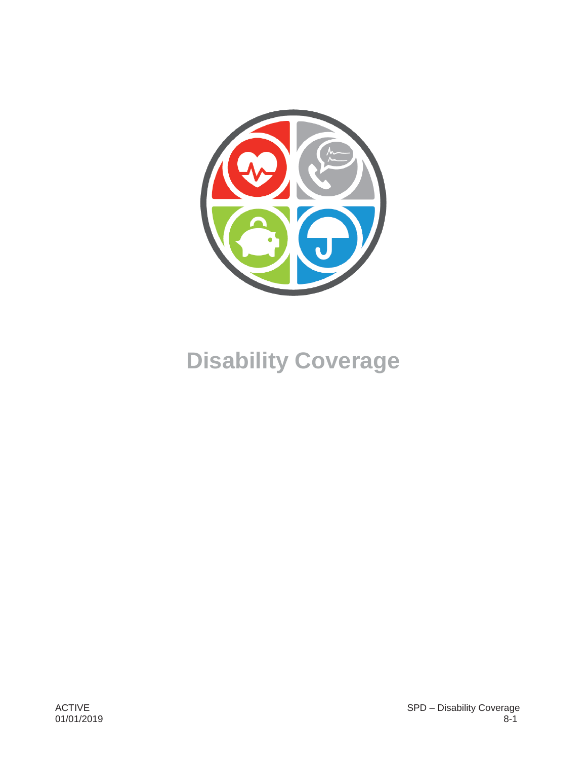

# **Disability Coverage**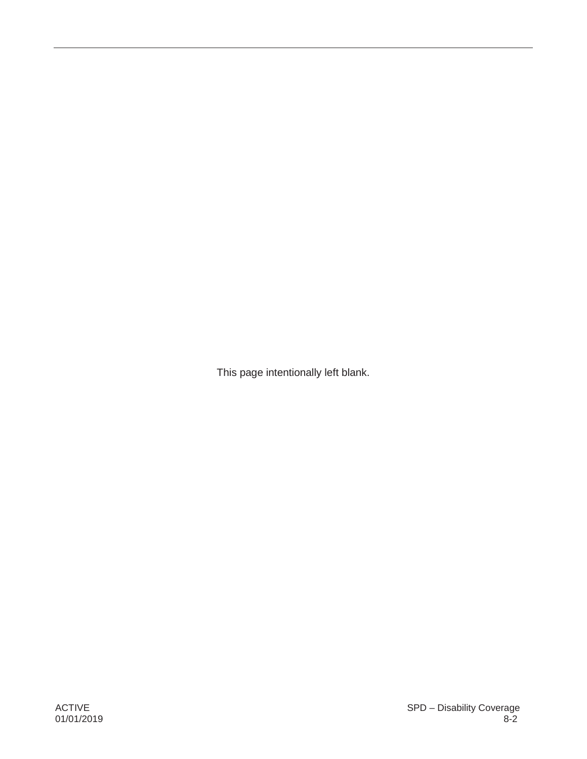This page intentionally left blank.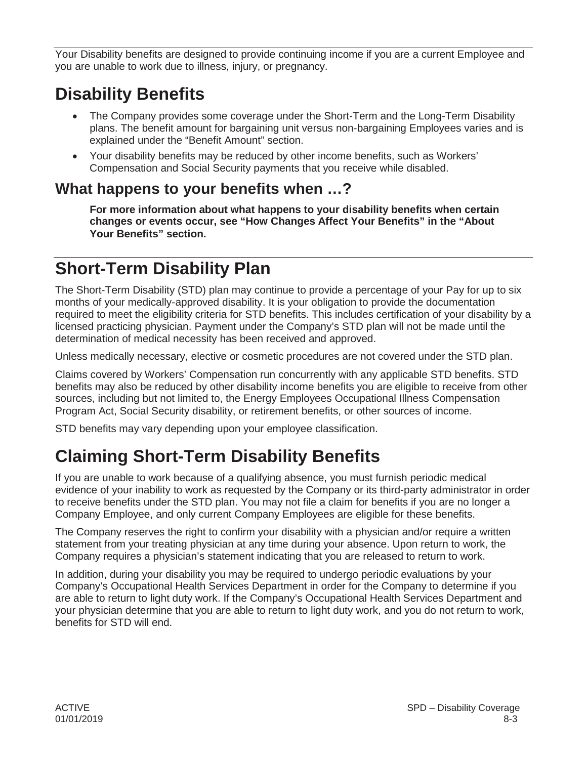Your Disability benefits are designed to provide continuing income if you are a current Employee and you are unable to work due to illness, injury, or pregnancy.

## **Disability Benefits**

- The Company provides some coverage under the Short-Term and the Long-Term Disability plans. The benefit amount for bargaining unit versus non-bargaining Employees varies and is explained under the "Benefit Amount" section.
- Your disability benefits may be reduced by other income benefits, such as Workers' Compensation and Social Security payments that you receive while disabled.

### **What happens to your benefits when …?**

**For more information about what happens to your disability benefits when certain changes or events occur, see "How Changes Affect Your Benefits" in the "About Your Benefits" section.**

## **Short-Term Disability Plan**

The Short-Term Disability (STD) plan may continue to provide a percentage of your Pay for up to six months of your medically-approved disability. It is your obligation to provide the documentation required to meet the eligibility criteria for STD benefits. This includes certification of your disability by a licensed practicing physician. Payment under the Company's STD plan will not be made until the determination of medical necessity has been received and approved.

Unless medically necessary, elective or cosmetic procedures are not covered under the STD plan.

Claims covered by Workers' Compensation run concurrently with any applicable STD benefits. STD benefits may also be reduced by other disability income benefits you are eligible to receive from other sources, including but not limited to, the Energy Employees Occupational Illness Compensation Program Act, Social Security disability, or retirement benefits, or other sources of income.

STD benefits may vary depending upon your employee classification.

## **Claiming Short-Term Disability Benefits**

If you are unable to work because of a qualifying absence, you must furnish periodic medical evidence of your inability to work as requested by the Company or its third-party administrator in order to receive benefits under the STD plan. You may not file a claim for benefits if you are no longer a Company Employee, and only current Company Employees are eligible for these benefits.

The Company reserves the right to confirm your disability with a physician and/or require a written statement from your treating physician at any time during your absence. Upon return to work, the Company requires a physician's statement indicating that you are released to return to work.

In addition, during your disability you may be required to undergo periodic evaluations by your Company's Occupational Health Services Department in order for the Company to determine if you are able to return to light duty work. If the Company's Occupational Health Services Department and your physician determine that you are able to return to light duty work, and you do not return to work, benefits for STD will end.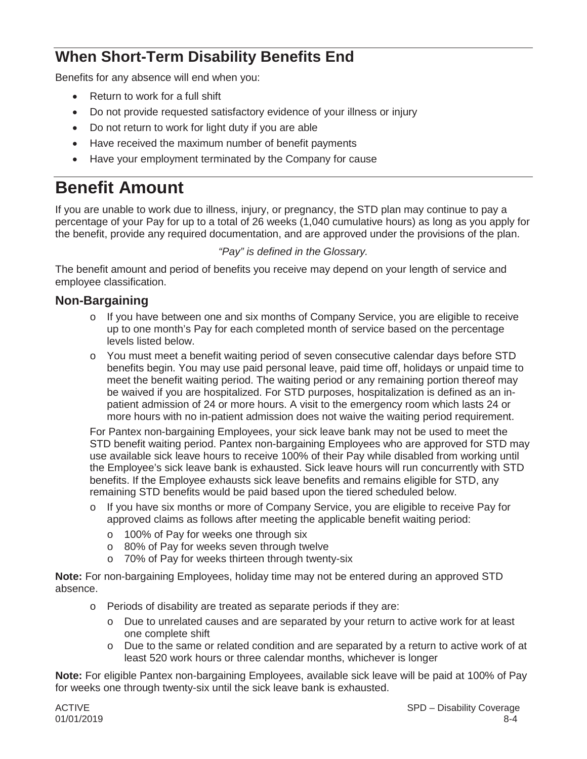### **When Short-Term Disability Benefits End**

Benefits for any absence will end when you:

- $\bullet$  Return to work for a full shift
- Do not provide requested satisfactory evidence of your illness or injury
- Do not return to work for light duty if you are able
- Have received the maximum number of benefit payments
- Have your employment terminated by the Company for cause

## **Benefit Amount**

If you are unable to work due to illness, injury, or pregnancy, the STD plan may continue to pay a percentage of your Pay for up to a total of 26 weeks (1,040 cumulative hours) as long as you apply for the benefit, provide any required documentation, and are approved under the provisions of the plan.

#### *"Pay" is defined in the Glossary.*

The benefit amount and period of benefits you receive may depend on your length of service and employee classification.

### **Non-Bargaining**

- o If you have between one and six months of Company Service, you are eligible to receive up to one month's Pay for each completed month of service based on the percentage levels listed below.
- o You must meet a benefit waiting period of seven consecutive calendar days before STD benefits begin. You may use paid personal leave, paid time off, holidays or unpaid time to meet the benefit waiting period. The waiting period or any remaining portion thereof may be waived if you are hospitalized. For STD purposes, hospitalization is defined as an inpatient admission of 24 or more hours. A visit to the emergency room which lasts 24 or more hours with no in-patient admission does not waive the waiting period requirement.

For Pantex non-bargaining Employees, your sick leave bank may not be used to meet the STD benefit waiting period. Pantex non-bargaining Employees who are approved for STD may use available sick leave hours to receive 100% of their Pay while disabled from working until the Employee's sick leave bank is exhausted. Sick leave hours will run concurrently with STD benefits. If the Employee exhausts sick leave benefits and remains eligible for STD, any remaining STD benefits would be paid based upon the tiered scheduled below.

- o If you have six months or more of Company Service, you are eligible to receive Pay for approved claims as follows after meeting the applicable benefit waiting period:
	- o 100% of Pay for weeks one through six
	- o 80% of Pay for weeks seven through twelve
	- o 70% of Pay for weeks thirteen through twenty-six

**Note:** For non-bargaining Employees, holiday time may not be entered during an approved STD absence.

- o Periods of disability are treated as separate periods if they are:
	- o Due to unrelated causes and are separated by your return to active work for at least one complete shift
	- o Due to the same or related condition and are separated by a return to active work of at least 520 work hours or three calendar months, whichever is longer

**Note:** For eligible Pantex non-bargaining Employees, available sick leave will be paid at 100% of Pay for weeks one through twenty-six until the sick leave bank is exhausted.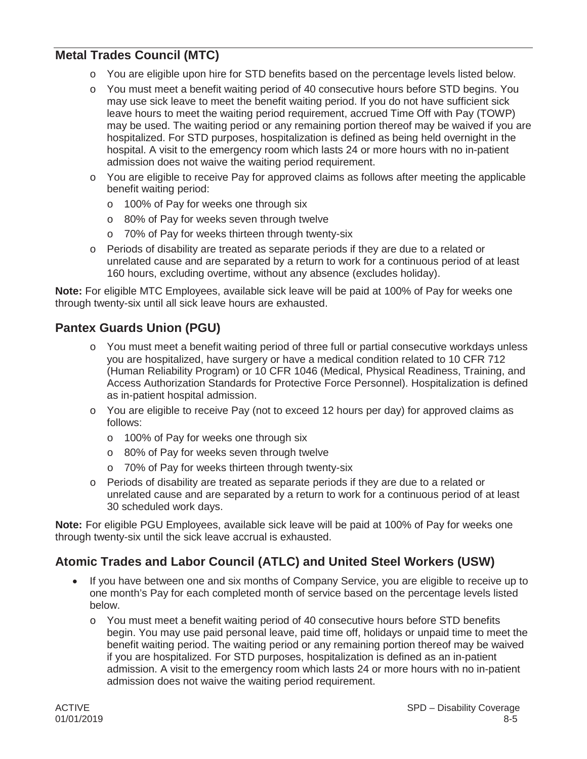### **Metal Trades Council (MTC)**

- o You are eligible upon hire for STD benefits based on the percentage levels listed below.
- o You must meet a benefit waiting period of 40 consecutive hours before STD begins. You may use sick leave to meet the benefit waiting period. If you do not have sufficient sick leave hours to meet the waiting period requirement, accrued Time Off with Pay (TOWP) may be used. The waiting period or any remaining portion thereof may be waived if you are hospitalized. For STD purposes, hospitalization is defined as being held overnight in the hospital. A visit to the emergency room which lasts 24 or more hours with no in-patient admission does not waive the waiting period requirement.
- o You are eligible to receive Pay for approved claims as follows after meeting the applicable benefit waiting period:
	- o 100% of Pay for weeks one through six
	- o 80% of Pay for weeks seven through twelve
	- o 70% of Pay for weeks thirteen through twenty-six
- o Periods of disability are treated as separate periods if they are due to a related or unrelated cause and are separated by a return to work for a continuous period of at least 160 hours, excluding overtime, without any absence (excludes holiday).

**Note:** For eligible MTC Employees, available sick leave will be paid at 100% of Pay for weeks one through twenty-six until all sick leave hours are exhausted.

### **Pantex Guards Union (PGU)**

- o You must meet a benefit waiting period of three full or partial consecutive workdays unless you are hospitalized, have surgery or have a medical condition related to 10 CFR 712 (Human Reliability Program) or 10 CFR 1046 (Medical, Physical Readiness, Training, and Access Authorization Standards for Protective Force Personnel). Hospitalization is defined as in-patient hospital admission.
- o You are eligible to receive Pay (not to exceed 12 hours per day) for approved claims as follows:
	- o 100% of Pay for weeks one through six
	- o 80% of Pay for weeks seven through twelve
	- o 70% of Pay for weeks thirteen through twenty-six
- o Periods of disability are treated as separate periods if they are due to a related or unrelated cause and are separated by a return to work for a continuous period of at least 30 scheduled work days.

**Note:** For eligible PGU Employees, available sick leave will be paid at 100% of Pay for weeks one through twenty-six until the sick leave accrual is exhausted.

### **Atomic Trades and Labor Council (ATLC) and United Steel Workers (USW)**

- If you have between one and six months of Company Service, you are eligible to receive up to one month's Pay for each completed month of service based on the percentage levels listed below.
	- o You must meet a benefit waiting period of 40 consecutive hours before STD benefits begin. You may use paid personal leave, paid time off, holidays or unpaid time to meet the benefit waiting period. The waiting period or any remaining portion thereof may be waived if you are hospitalized. For STD purposes, hospitalization is defined as an in-patient admission. A visit to the emergency room which lasts 24 or more hours with no in-patient admission does not waive the waiting period requirement.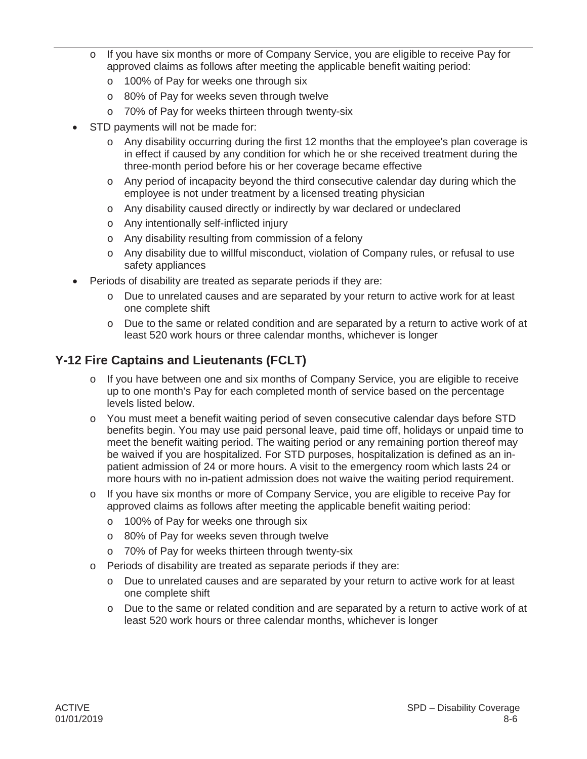- o If you have six months or more of Company Service, you are eligible to receive Pay for approved claims as follows after meeting the applicable benefit waiting period:
	- o 100% of Pay for weeks one through six
	- o 80% of Pay for weeks seven through twelve
	- o 70% of Pay for weeks thirteen through twenty-six
- STD payments will not be made for:
	- o Any disability occurring during the first 12 months that the employee's plan coverage is in effect if caused by any condition for which he or she received treatment during the three-month period before his or her coverage became effective
	- o Any period of incapacity beyond the third consecutive calendar day during which the employee is not under treatment by a licensed treating physician
	- o Any disability caused directly or indirectly by war declared or undeclared
	- o Any intentionally self-inflicted injury
	- o Any disability resulting from commission of a felony
	- o Any disability due to willful misconduct, violation of Company rules, or refusal to use safety appliances
- Periods of disability are treated as separate periods if they are:
	- o Due to unrelated causes and are separated by your return to active work for at least one complete shift
	- o Due to the same or related condition and are separated by a return to active work of at least 520 work hours or three calendar months, whichever is longer

### **Y-12 Fire Captains and Lieutenants (FCLT)**

- o If you have between one and six months of Company Service, you are eligible to receive up to one month's Pay for each completed month of service based on the percentage levels listed below.
- o You must meet a benefit waiting period of seven consecutive calendar days before STD benefits begin. You may use paid personal leave, paid time off, holidays or unpaid time to meet the benefit waiting period. The waiting period or any remaining portion thereof may be waived if you are hospitalized. For STD purposes, hospitalization is defined as an inpatient admission of 24 or more hours. A visit to the emergency room which lasts 24 or more hours with no in-patient admission does not waive the waiting period requirement.
- o If you have six months or more of Company Service, you are eligible to receive Pay for approved claims as follows after meeting the applicable benefit waiting period:
	- o 100% of Pay for weeks one through six
	- o 80% of Pay for weeks seven through twelve
	- o 70% of Pay for weeks thirteen through twenty-six
- o Periods of disability are treated as separate periods if they are:
	- o Due to unrelated causes and are separated by your return to active work for at least one complete shift
	- o Due to the same or related condition and are separated by a return to active work of at least 520 work hours or three calendar months, whichever is longer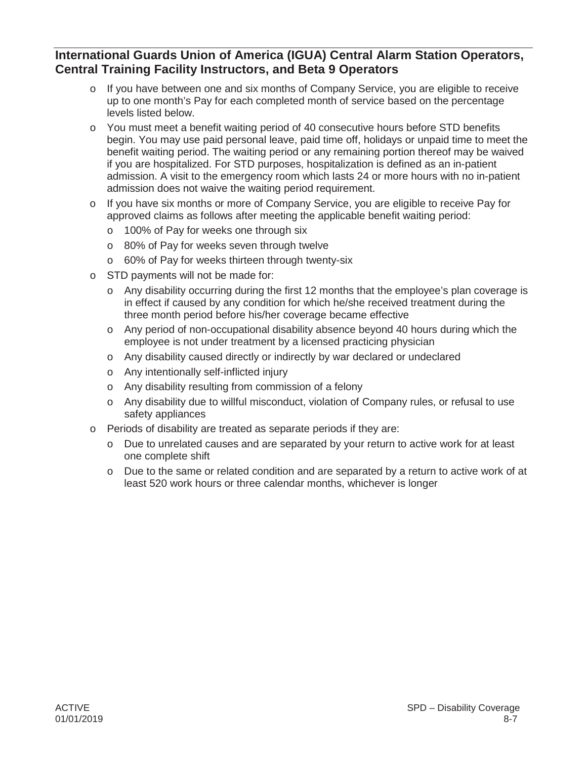### **International Guards Union of America (IGUA) Central Alarm Station Operators, Central Training Facility Instructors, and Beta 9 Operators**

- o If you have between one and six months of Company Service, you are eligible to receive up to one month's Pay for each completed month of service based on the percentage levels listed below.
- o You must meet a benefit waiting period of 40 consecutive hours before STD benefits begin. You may use paid personal leave, paid time off, holidays or unpaid time to meet the benefit waiting period. The waiting period or any remaining portion thereof may be waived if you are hospitalized. For STD purposes, hospitalization is defined as an in-patient admission. A visit to the emergency room which lasts 24 or more hours with no in-patient admission does not waive the waiting period requirement.
- o If you have six months or more of Company Service, you are eligible to receive Pay for approved claims as follows after meeting the applicable benefit waiting period:
	- o 100% of Pay for weeks one through six
	- o 80% of Pay for weeks seven through twelve
	- o 60% of Pay for weeks thirteen through twenty-six
- o STD payments will not be made for:
	- o Any disability occurring during the first 12 months that the employee's plan coverage is in effect if caused by any condition for which he/she received treatment during the three month period before his/her coverage became effective
	- o Any period of non-occupational disability absence beyond 40 hours during which the employee is not under treatment by a licensed practicing physician
	- o Any disability caused directly or indirectly by war declared or undeclared
	- o Any intentionally self-inflicted injury
	- o Any disability resulting from commission of a felony
	- o Any disability due to willful misconduct, violation of Company rules, or refusal to use safety appliances
- o Periods of disability are treated as separate periods if they are:
	- o Due to unrelated causes and are separated by your return to active work for at least one complete shift
	- o Due to the same or related condition and are separated by a return to active work of at least 520 work hours or three calendar months, whichever is longer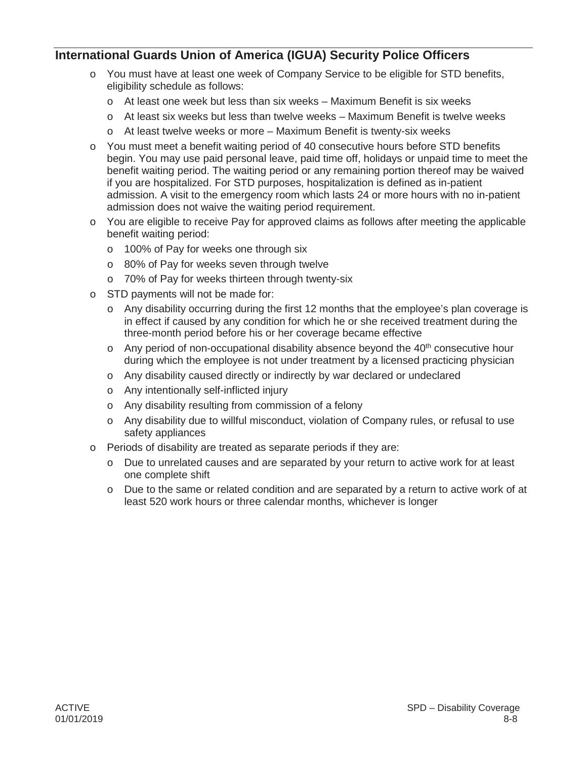### **International Guards Union of America (IGUA) Security Police Officers**

- o You must have at least one week of Company Service to be eligible for STD benefits, eligibility schedule as follows:
	- o At least one week but less than six weeks Maximum Benefit is six weeks
	- o At least six weeks but less than twelve weeks Maximum Benefit is twelve weeks
	- o At least twelve weeks or more Maximum Benefit is twenty-six weeks
- o You must meet a benefit waiting period of 40 consecutive hours before STD benefits begin. You may use paid personal leave, paid time off, holidays or unpaid time to meet the benefit waiting period. The waiting period or any remaining portion thereof may be waived if you are hospitalized. For STD purposes, hospitalization is defined as in-patient admission. A visit to the emergency room which lasts 24 or more hours with no in-patient admission does not waive the waiting period requirement.
- o You are eligible to receive Pay for approved claims as follows after meeting the applicable benefit waiting period:
	- o 100% of Pay for weeks one through six
	- o 80% of Pay for weeks seven through twelve
	- o 70% of Pay for weeks thirteen through twenty-six
- o STD payments will not be made for:
	- o Any disability occurring during the first 12 months that the employee's plan coverage is in effect if caused by any condition for which he or she received treatment during the three-month period before his or her coverage became effective
	- $\circ$  Any period of non-occupational disability absence beyond the 40<sup>th</sup> consecutive hour during which the employee is not under treatment by a licensed practicing physician
	- o Any disability caused directly or indirectly by war declared or undeclared
	- o Any intentionally self-inflicted injury
	- o Any disability resulting from commission of a felony
	- o Any disability due to willful misconduct, violation of Company rules, or refusal to use safety appliances
- o Periods of disability are treated as separate periods if they are:
	- o Due to unrelated causes and are separated by your return to active work for at least one complete shift
	- o Due to the same or related condition and are separated by a return to active work of at least 520 work hours or three calendar months, whichever is longer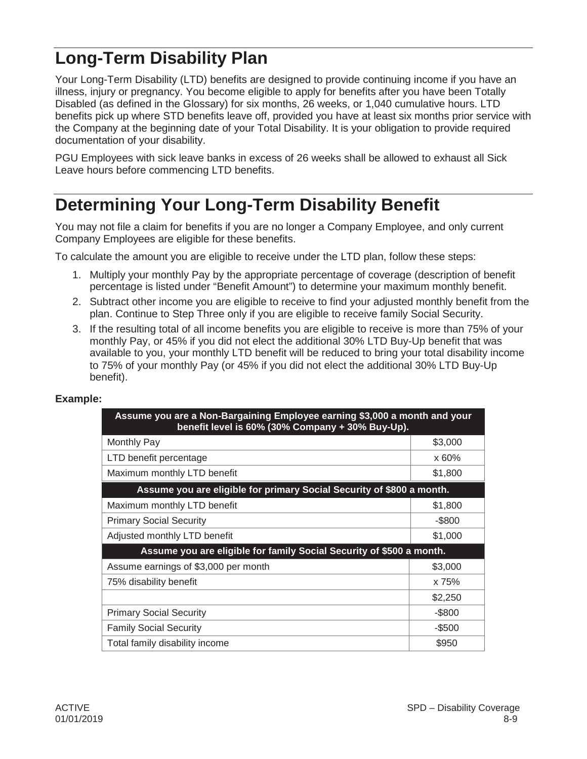## **Long-Term Disability Plan**

Your Long-Term Disability (LTD) benefits are designed to provide continuing income if you have an illness, injury or pregnancy. You become eligible to apply for benefits after you have been Totally Disabled (as defined in the Glossary) for six months, 26 weeks, or 1,040 cumulative hours. LTD benefits pick up where STD benefits leave off, provided you have at least six months prior service with the Company at the beginning date of your Total Disability. It is your obligation to provide required documentation of your disability.

PGU Employees with sick leave banks in excess of 26 weeks shall be allowed to exhaust all Sick Leave hours before commencing LTD benefits.

## **Determining Your Long-Term Disability Benefit**

You may not file a claim for benefits if you are no longer a Company Employee, and only current Company Employees are eligible for these benefits.

To calculate the amount you are eligible to receive under the LTD plan, follow these steps:

- 1. Multiply your monthly Pay by the appropriate percentage of coverage (description of benefit percentage is listed under "Benefit Amount") to determine your maximum monthly benefit.
- 2. Subtract other income you are eligible to receive to find your adjusted monthly benefit from the plan. Continue to Step Three only if you are eligible to receive family Social Security.
- 3. If the resulting total of all income benefits you are eligible to receive is more than 75% of your monthly Pay, or 45% if you did not elect the additional 30% LTD Buy-Up benefit that was available to you, your monthly LTD benefit will be reduced to bring your total disability income to 75% of your monthly Pay (or 45% if you did not elect the additional 30% LTD Buy-Up benefit).

#### **Example:**

| Assume you are a Non-Bargaining Employee earning \$3,000 a month and your<br>benefit level is 60% (30% Company + 30% Buy-Up). |           |  |  |
|-------------------------------------------------------------------------------------------------------------------------------|-----------|--|--|
| Monthly Pay                                                                                                                   | \$3,000   |  |  |
| LTD benefit percentage                                                                                                        | x 60%     |  |  |
| Maximum monthly LTD benefit                                                                                                   | \$1,800   |  |  |
| Assume you are eligible for primary Social Security of \$800 a month.                                                         |           |  |  |
| Maximum monthly LTD benefit                                                                                                   | \$1,800   |  |  |
| <b>Primary Social Security</b>                                                                                                | $-$ \$800 |  |  |
| Adjusted monthly LTD benefit                                                                                                  | \$1,000   |  |  |
| Assume you are eligible for family Social Security of \$500 a month.                                                          |           |  |  |
| Assume earnings of \$3,000 per month                                                                                          | \$3,000   |  |  |
| 75% disability benefit                                                                                                        | x 75%     |  |  |
|                                                                                                                               | \$2,250   |  |  |
| <b>Primary Social Security</b>                                                                                                | $-$ \$800 |  |  |
| <b>Family Social Security</b>                                                                                                 | $-$ \$500 |  |  |
| Total family disability income                                                                                                | \$950     |  |  |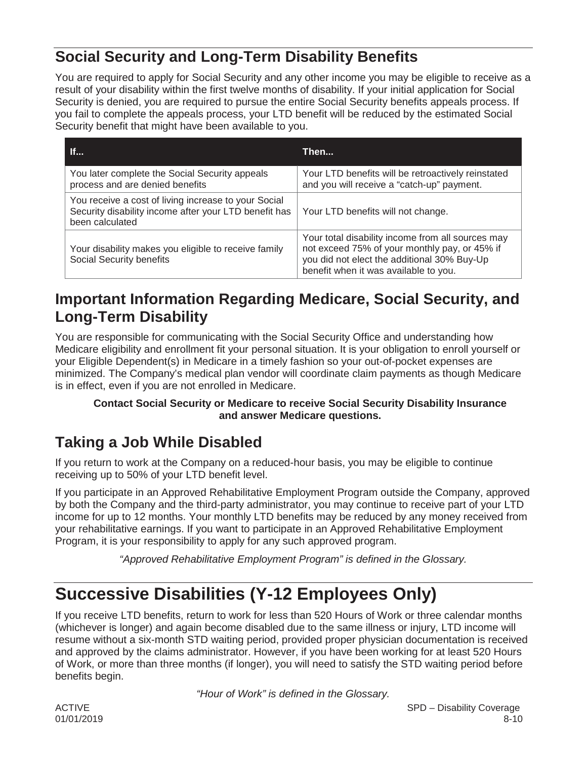### **Social Security and Long-Term Disability Benefits**

You are required to apply for Social Security and any other income you may be eligible to receive as a result of your disability within the first twelve months of disability. If your initial application for Social Security is denied, you are required to pursue the entire Social Security benefits appeals process. If you fail to complete the appeals process, your LTD benefit will be reduced by the estimated Social Security benefit that might have been available to you.

| lf…                                                                                                                              | Then                                                                                                                                                                                       |
|----------------------------------------------------------------------------------------------------------------------------------|--------------------------------------------------------------------------------------------------------------------------------------------------------------------------------------------|
| You later complete the Social Security appeals<br>process and are denied benefits                                                | Your LTD benefits will be retroactively reinstated<br>and you will receive a "catch-up" payment.                                                                                           |
| You receive a cost of living increase to your Social<br>Security disability income after your LTD benefit has<br>been calculated | Your LTD benefits will not change.                                                                                                                                                         |
| Your disability makes you eligible to receive family<br>Social Security benefits                                                 | Your total disability income from all sources may<br>not exceed 75% of your monthly pay, or 45% if<br>you did not elect the additional 30% Buy-Up<br>benefit when it was available to you. |

### **Important Information Regarding Medicare, Social Security, and Long-Term Disability**

You are responsible for communicating with the Social Security Office and understanding how Medicare eligibility and enrollment fit your personal situation. It is your obligation to enroll yourself or your Eligible Dependent(s) in Medicare in a timely fashion so your out-of-pocket expenses are minimized. The Company's medical plan vendor will coordinate claim payments as though Medicare is in effect, even if you are not enrolled in Medicare.

#### **Contact Social Security or Medicare to receive Social Security Disability Insurance and answer Medicare questions.**

### **Taking a Job While Disabled**

If you return to work at the Company on a reduced-hour basis, you may be eligible to continue receiving up to 50% of your LTD benefit level.

If you participate in an Approved Rehabilitative Employment Program outside the Company, approved by both the Company and the third-party administrator, you may continue to receive part of your LTD income for up to 12 months. Your monthly LTD benefits may be reduced by any money received from your rehabilitative earnings. If you want to participate in an Approved Rehabilitative Employment Program, it is your responsibility to apply for any such approved program.

*"Approved Rehabilitative Employment Program" is defined in the Glossary.*

## **Successive Disabilities (Y-12 Employees Only)**

If you receive LTD benefits, return to work for less than 520 Hours of Work or three calendar months (whichever is longer) and again become disabled due to the same illness or injury, LTD income will resume without a six-month STD waiting period, provided proper physician documentation is received and approved by the claims administrator. However, if you have been working for at least 520 Hours of Work, or more than three months (if longer), you will need to satisfy the STD waiting period before benefits begin.

*"Hour of Work" is defined in the Glossary.*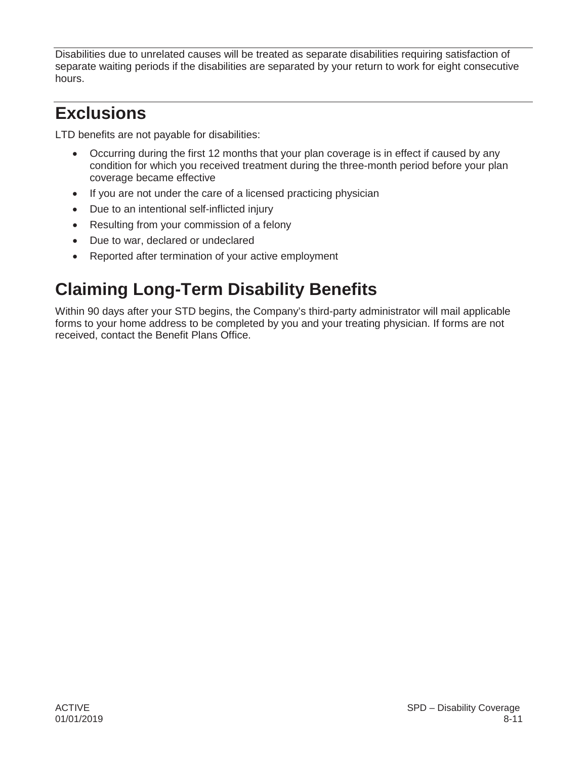Disabilities due to unrelated causes will be treated as separate disabilities requiring satisfaction of separate waiting periods if the disabilities are separated by your return to work for eight consecutive hours.

## **Exclusions**

LTD benefits are not payable for disabilities:

- Occurring during the first 12 months that your plan coverage is in effect if caused by any condition for which you received treatment during the three-month period before your plan coverage became effective
- If you are not under the care of a licensed practicing physician
- Due to an intentional self-inflicted injury
- Resulting from your commission of a felony
- Due to war, declared or undeclared
- Reported after termination of your active employment

## **Claiming Long-Term Disability Benefits**

Within 90 days after your STD begins, the Company's third-party administrator will mail applicable forms to your home address to be completed by you and your treating physician. If forms are not received, contact the Benefit Plans Office.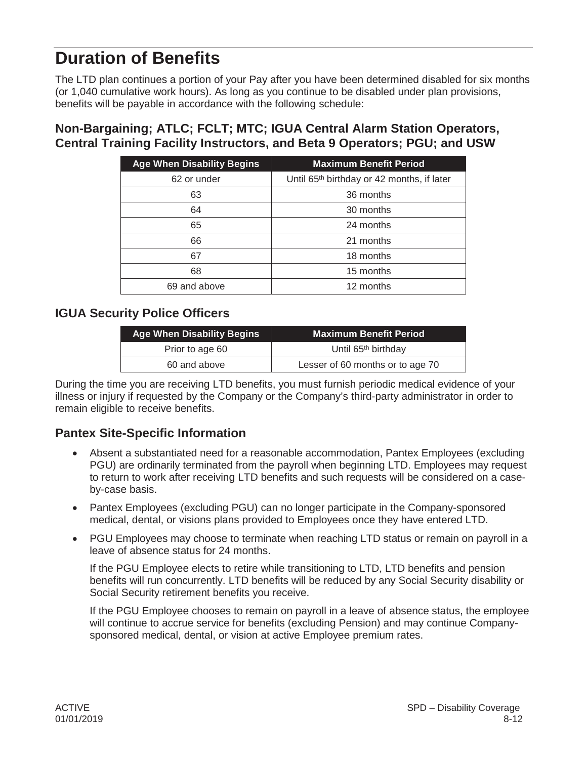## **Duration of Benefits**

The LTD plan continues a portion of your Pay after you have been determined disabled for six months (or 1,040 cumulative work hours). As long as you continue to be disabled under plan provisions, benefits will be payable in accordance with the following schedule:

### **Non-Bargaining; ATLC; FCLT; MTC; IGUA Central Alarm Station Operators, Central Training Facility Instructors, and Beta 9 Operators; PGU; and USW**

| <b>Age When Disability Begins</b> | <b>Maximum Benefit Period</b>                          |
|-----------------------------------|--------------------------------------------------------|
| 62 or under                       | Until 65 <sup>th</sup> birthday or 42 months, if later |
| 63                                | 36 months                                              |
| 64                                | 30 months                                              |
| 65                                | 24 months                                              |
| 66                                | 21 months                                              |
| 67                                | 18 months                                              |
| 68                                | 15 months                                              |
| 69 and above                      | 12 months                                              |

### **IGUA Security Police Officers**

| <b>Age When Disability Begins</b> | <b>Maximum Benefit Period</b>    |
|-----------------------------------|----------------------------------|
| Prior to age 60                   | Until 65 <sup>th</sup> birthday  |
| 60 and above                      | Lesser of 60 months or to age 70 |

During the time you are receiving LTD benefits, you must furnish periodic medical evidence of your illness or injury if requested by the Company or the Company's third-party administrator in order to remain eligible to receive benefits.

### **Pantex Site-Specific Information**

- Absent a substantiated need for a reasonable accommodation, Pantex Employees (excluding PGU) are ordinarily terminated from the payroll when beginning LTD. Employees may request to return to work after receiving LTD benefits and such requests will be considered on a caseby-case basis.
- Pantex Employees (excluding PGU) can no longer participate in the Company-sponsored medical, dental, or visions plans provided to Employees once they have entered LTD.
- PGU Employees may choose to terminate when reaching LTD status or remain on payroll in a leave of absence status for 24 months.

If the PGU Employee elects to retire while transitioning to LTD, LTD benefits and pension benefits will run concurrently. LTD benefits will be reduced by any Social Security disability or Social Security retirement benefits you receive.

If the PGU Employee chooses to remain on payroll in a leave of absence status, the employee will continue to accrue service for benefits (excluding Pension) and may continue Companysponsored medical, dental, or vision at active Employee premium rates.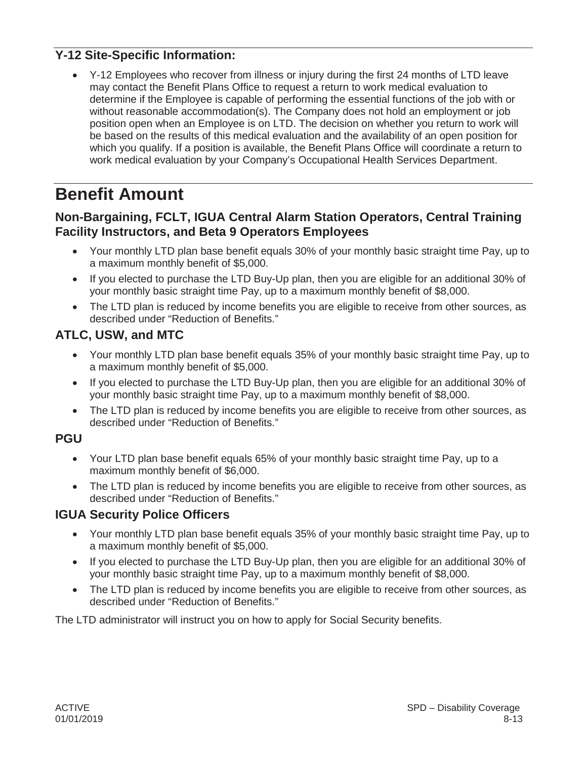### **Y-12 Site-Specific Information:**

• Y-12 Employees who recover from illness or injury during the first 24 months of LTD leave may contact the Benefit Plans Office to request a return to work medical evaluation to determine if the Employee is capable of performing the essential functions of the job with or without reasonable accommodation(s). The Company does not hold an employment or job position open when an Employee is on LTD. The decision on whether you return to work will be based on the results of this medical evaluation and the availability of an open position for which you qualify. If a position is available, the Benefit Plans Office will coordinate a return to work medical evaluation by your Company's Occupational Health Services Department.

## **Benefit Amount**

### **Non-Bargaining, FCLT, IGUA Central Alarm Station Operators, Central Training Facility Instructors, and Beta 9 Operators Employees**

- Your monthly LTD plan base benefit equals 30% of your monthly basic straight time Pay, up to a maximum monthly benefit of \$5,000.
- If you elected to purchase the LTD Buy-Up plan, then you are eligible for an additional 30% of your monthly basic straight time Pay, up to a maximum monthly benefit of \$8,000.
- The LTD plan is reduced by income benefits you are eligible to receive from other sources, as described under "Reduction of Benefits."

### **ATLC, USW, and MTC**

- Your monthly LTD plan base benefit equals 35% of your monthly basic straight time Pay, up to a maximum monthly benefit of \$5,000.
- If you elected to purchase the LTD Buy-Up plan, then you are eligible for an additional 30% of your monthly basic straight time Pay, up to a maximum monthly benefit of \$8,000.
- The LTD plan is reduced by income benefits you are eligible to receive from other sources, as described under "Reduction of Benefits."

#### **PGU**

- Your LTD plan base benefit equals 65% of your monthly basic straight time Pay, up to a maximum monthly benefit of \$6,000.
- The LTD plan is reduced by income benefits you are eligible to receive from other sources, as described under "Reduction of Benefits."

### **IGUA Security Police Officers**

- Your monthly LTD plan base benefit equals 35% of your monthly basic straight time Pay, up to a maximum monthly benefit of \$5,000.
- If you elected to purchase the LTD Buy-Up plan, then you are eligible for an additional 30% of your monthly basic straight time Pay, up to a maximum monthly benefit of \$8,000.
- The LTD plan is reduced by income benefits you are eligible to receive from other sources, as described under "Reduction of Benefits."

The LTD administrator will instruct you on how to apply for Social Security benefits.